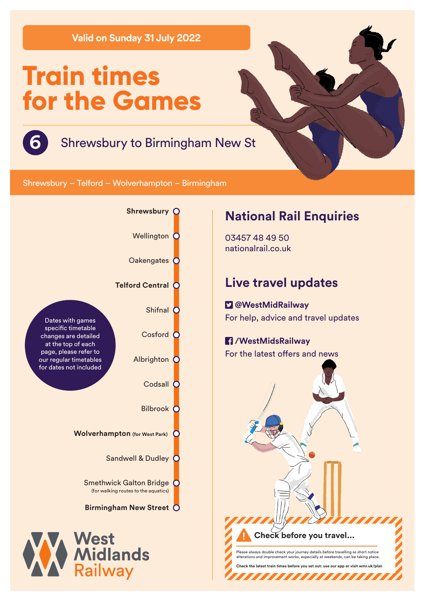**Valid on Sunday 31 July 2022**

# **Train times for the Games**



Shrewsbury – Telford – Wolverhampton – Birmingham



## **National Rail Enquiries**

03457 48 49 50 nationalrail.co.uk

# **Live travel updates**

 **@WestMidRailway** For help, advice and travel updates

### **/WestMidsRailway** For the latest offers and news